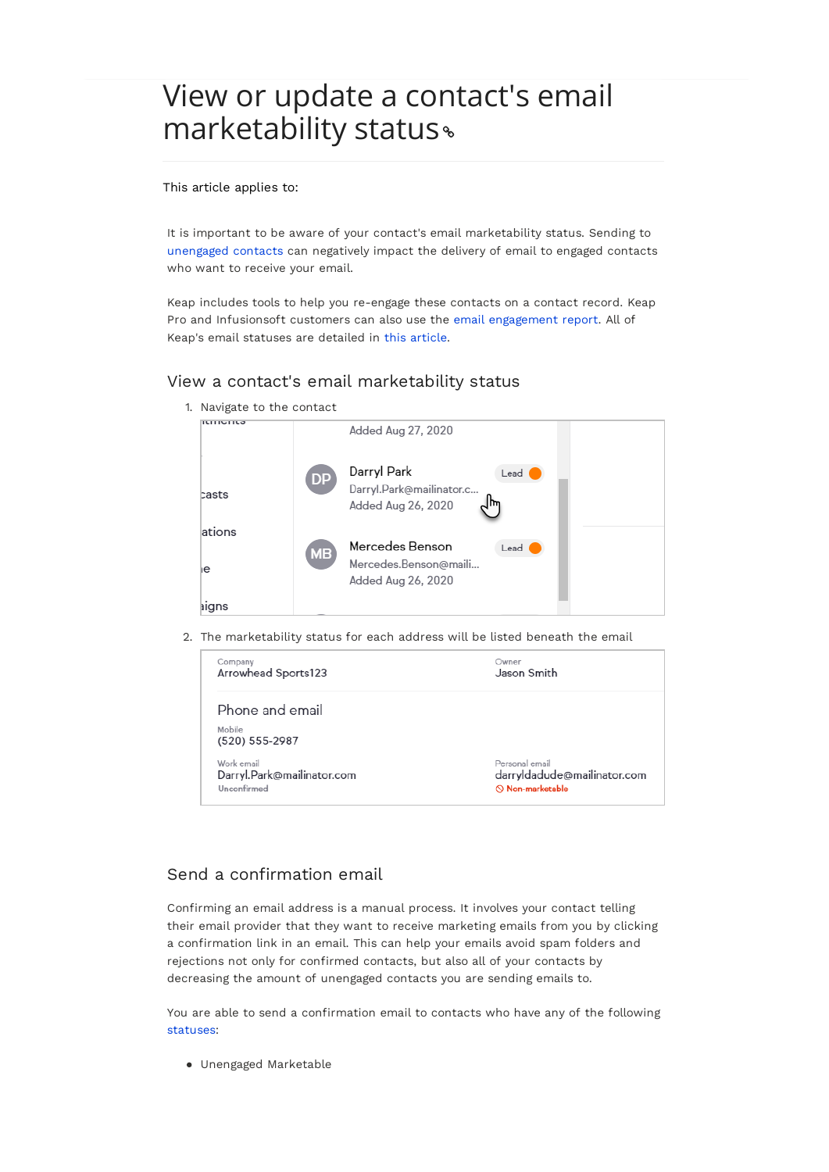# View or update a contact's email marketability status

#### This article applies to:

It is important to be aware of your contact's email marketability status. Sending to unengaged contacts can negatively impact the delivery of email to engaged contacts who want to receive your email.

Keap includes tools to help you re-engage these contacts on a contact record. Keap Pro and Infusionsoft customers can also use the email engagement report. All of Keap's email statuses are detailed in this article.

# View a contact's email marketability status

1. Navigate to the contact

| <b>ILITIUTILO</b> |           | Added Aug 27, 2020                                            |      |  |
|-------------------|-----------|---------------------------------------------------------------|------|--|
| casts             | DP        | Darryl Park<br>Darryl.Park@mailinator.c<br>Added Aug 26, 2020 | Lead |  |
| ations            |           | Mercedes Benson                                               | Lead |  |
| ıе                | <b>MB</b> | Mercedes.Benson@maili<br>Added Aug 26, 2020                   |      |  |
| aigns             |           |                                                               |      |  |

2. The marketability status for each address will be listed beneath the email

| Company                    | Owner                       |
|----------------------------|-----------------------------|
| Arrowhead Sports123        | Jason Smith                 |
| Phone and email            |                             |
| Mobile<br>(520) 555-2987   |                             |
| Work email                 | Personal email              |
| Darryl.Park@mailinator.com | darryldadude@mailinator.com |
| Unconfirmed                | $\odot$ Non-marketable      |

# Send a confirmation email

Confirming an email address is a manual process. It involves your contact telling their email provider that they want to receive marketing emails from you by clicking a confirmation link in an email. This can help your emails avoid spam folders and rejections not only for confirmed contacts, but also all of your contacts by decreasing the amount of unengaged contacts you are sending emails to.

You are able to send a confirmation email to contacts who have any of the following statuses:

Unengaged Marketable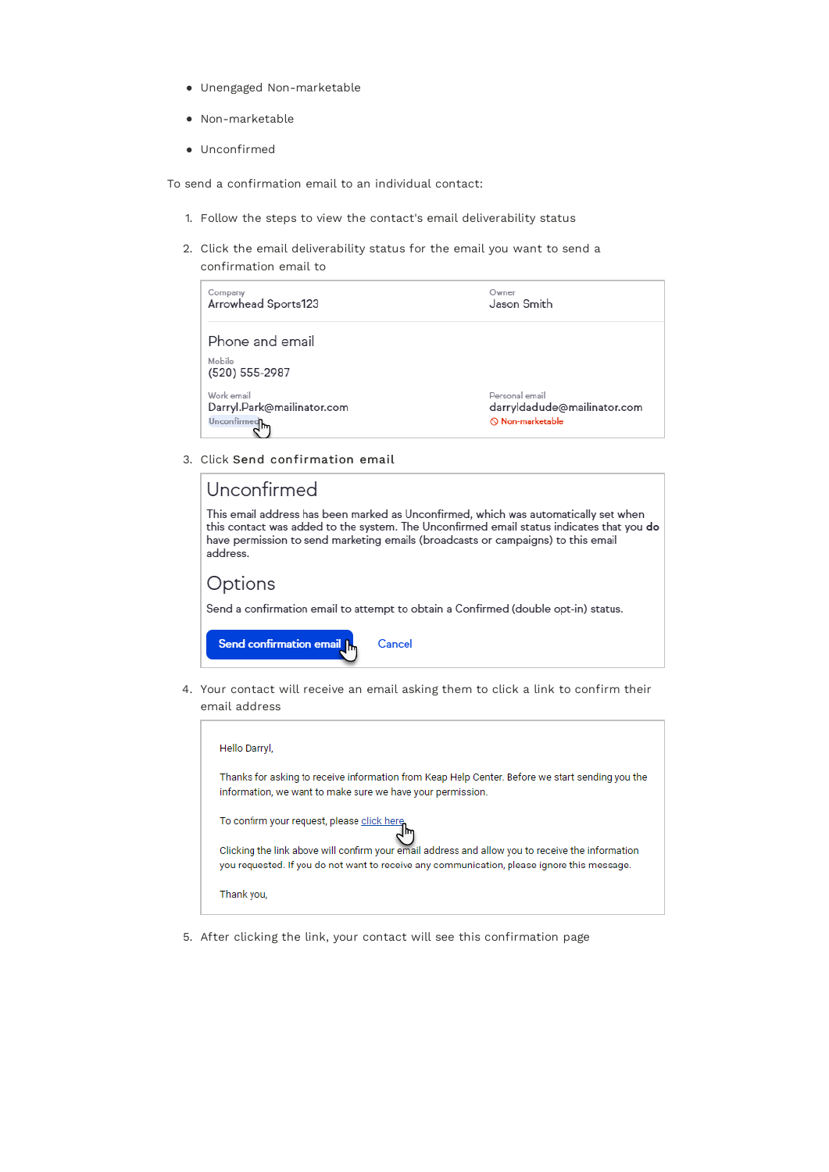- Unengaged Non-marketable
- Non-marketable
- $\bullet$  Unconfirmed

To send a confirmation email to an individual contact:

- 1. Follow the steps to view the contact's email deliverability status
- 2. Click the email deliverability status for the email you want to send a confirmation email to

| Company                                     | Owner                       |
|---------------------------------------------|-----------------------------|
| Arrowhead Sports123                         | Jason Smith                 |
| Phone and email<br>Mobile<br>(520) 555-2987 |                             |
| Work email                                  | Personal email              |
| Darryl.Park@mailinator.com                  | darryldadude@mailinator.com |
| Unconfirmed hm                              | $\odot$ Non-marketable      |

3. Click Send confirmation email

| Unconfirmed                                                                                                                                                                                                                                                                     |  |  |  |
|---------------------------------------------------------------------------------------------------------------------------------------------------------------------------------------------------------------------------------------------------------------------------------|--|--|--|
| This email address has been marked as Unconfirmed, which was automatically set when<br>this contact was added to the system. The Unconfirmed email status indicates that you do<br>have permission to send marketing emails (broadcasts or campaigns) to this email<br>address. |  |  |  |
| Options                                                                                                                                                                                                                                                                         |  |  |  |
| Send a confirmation email to attempt to obtain a Confirmed (double opt-in) status.                                                                                                                                                                                              |  |  |  |
| Send confirmation email In<br>Cancel                                                                                                                                                                                                                                            |  |  |  |

4. Your contact will receive an email asking them to click a link to confirm their email address

| Hello Darryl,                                                                                                                                                                                   |  |
|-------------------------------------------------------------------------------------------------------------------------------------------------------------------------------------------------|--|
| Thanks for asking to receive information from Keap Help Center. Before we start sending you the<br>information, we want to make sure we have your permission.                                   |  |
| To confirm your request, please click here                                                                                                                                                      |  |
| Clicking the link above will confirm your email address and allow you to receive the information<br>you requested. If you do not want to receive any communication, please ignore this message. |  |
| Thank you,                                                                                                                                                                                      |  |

5. After clicking the link, your contact will see this confirmation page